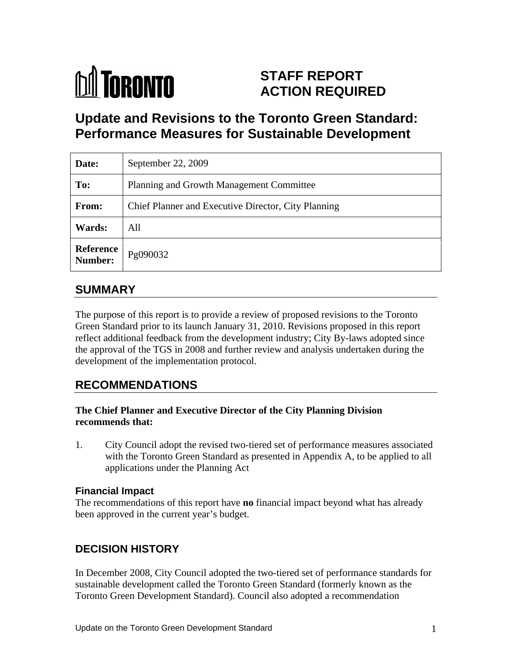

# **STAFF REPORT ACTION REQUIRED**

# **Update and Revisions to the Toronto Green Standard: Performance Measures for Sustainable Development**

| Date:                     | September 22, 2009                                  |
|---------------------------|-----------------------------------------------------|
| To:                       | Planning and Growth Management Committee            |
| From:                     | Chief Planner and Executive Director, City Planning |
| Wards:                    | All                                                 |
| <b>Reference</b> Pg090032 |                                                     |

# **SUMMARY**

The purpose of this report is to provide a review of proposed revisions to the Toronto Green Standard prior to its launch January 31, 2010. Revisions proposed in this report reflect additional feedback from the development industry; City By-laws adopted since the approval of the TGS in 2008 and further review and analysis undertaken during the development of the implementation protocol.

# **RECOMMENDATIONS**

#### **The Chief Planner and Executive Director of the City Planning Division recommends that:**

1. City Council adopt the revised two-tiered set of performance measures associated with the Toronto Green Standard as presented in Appendix A, to be applied to all applications under the Planning Act

#### **Financial Impact**

The recommendations of this report have **no** financial impact beyond what has already been approved in the current year's budget.

### **DECISION HISTORY**

In December 2008, City Council adopted the two-tiered set of performance standards for sustainable development called the Toronto Green Standard (formerly known as the Toronto Green Development Standard). Council also adopted a recommendation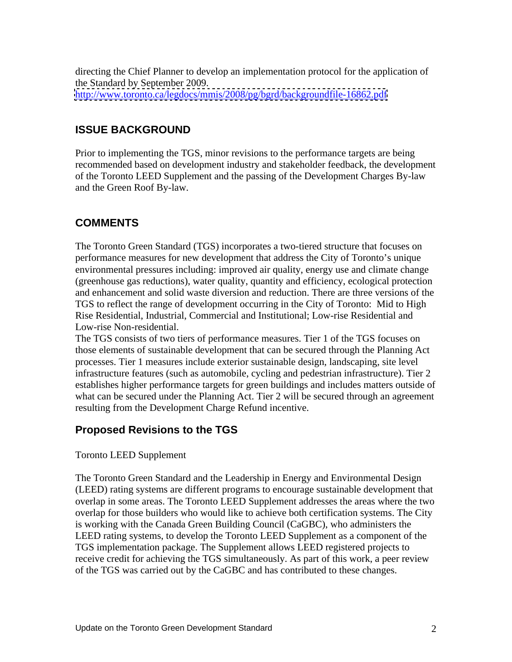directing the Chief Planner to develop an implementation protocol for the application of the Standard by September 2009. <http://www.toronto.ca/legdocs/mmis/2008/pg/bgrd/backgroundfile-16862.pdf>

### **ISSUE BACKGROUND**

Prior to implementing the TGS, minor revisions to the performance targets are being recommended based on development industry and stakeholder feedback, the development of the Toronto LEED Supplement and the passing of the Development Charges By-law and the Green Roof By-law.

### **COMMENTS**

The Toronto Green Standard (TGS) incorporates a two-tiered structure that focuses on performance measures for new development that address the City of Toronto's unique environmental pressures including: improved air quality, energy use and climate change (greenhouse gas reductions), water quality, quantity and efficiency, ecological protection and enhancement and solid waste diversion and reduction. There are three versions of the TGS to reflect the range of development occurring in the City of Toronto: Mid to High Rise Residential, Industrial, Commercial and Institutional; Low-rise Residential and Low-rise Non-residential.

The TGS consists of two tiers of performance measures. Tier 1 of the TGS focuses on those elements of sustainable development that can be secured through the Planning Act processes. Tier 1 measures include exterior sustainable design, landscaping, site level infrastructure features (such as automobile, cycling and pedestrian infrastructure). Tier 2 establishes higher performance targets for green buildings and includes matters outside of what can be secured under the Planning Act. Tier 2 will be secured through an agreement resulting from the Development Charge Refund incentive.

### **Proposed Revisions to the TGS**

#### Toronto LEED Supplement

The Toronto Green Standard and the Leadership in Energy and Environmental Design (LEED) rating systems are different programs to encourage sustainable development that overlap in some areas. The Toronto LEED Supplement addresses the areas where the two overlap for those builders who would like to achieve both certification systems. The City is working with the Canada Green Building Council (CaGBC), who administers the LEED rating systems, to develop the Toronto LEED Supplement as a component of the TGS implementation package. The Supplement allows LEED registered projects to receive credit for achieving the TGS simultaneously. As part of this work, a peer review of the TGS was carried out by the CaGBC and has contributed to these changes.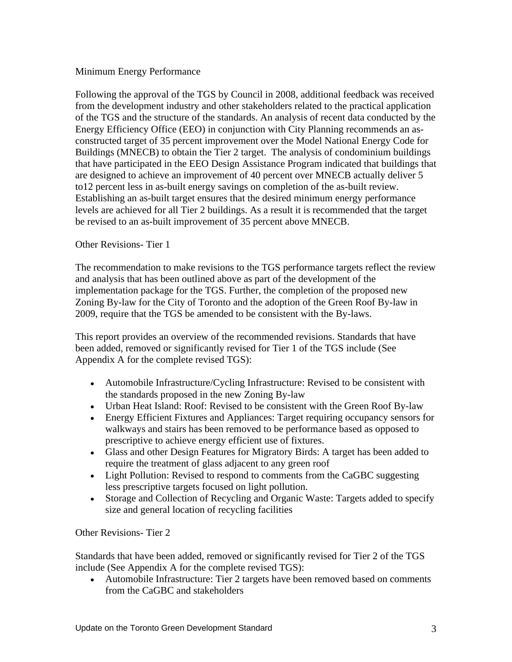#### Minimum Energy Performance

Following the approval of the TGS by Council in 2008, additional feedback was received from the development industry and other stakeholders related to the practical application of the TGS and the structure of the standards. An analysis of recent data conducted by the Energy Efficiency Office (EEO) in conjunction with City Planning recommends an as constructed target of 35 percent improvement over the Model National Energy Code for Buildings (MNECB) to obtain the Tier 2 target. The analysis of condominium buildings that have participated in the EEO Design Assistance Program indicated that buildings that are designed to achieve an improvement of 40 percent over MNECB actually deliver 5 to12 percent less in as-built energy savings on completion of the as-built review. Establishing an as-built target ensures that the desired minimum energy performance levels are achieved for all Tier 2 buildings. As a result it is recommended that the target be revised to an as-built improvement of 35 percent above MNECB.

#### Other Revisions- Tier 1

The recommendation to make revisions to the TGS performance targets reflect the review and analysis that has been outlined above as part of the development of the implementation package for the TGS. Further, the completion of the proposed new Zoning By-law for the City of Toronto and the adoption of the Green Roof By-law in 2009, require that the TGS be amended to be consistent with the By-laws.

This report provides an overview of the recommended revisions. Standards that have been added, removed or significantly revised for Tier 1 of the TGS include (See Appendix A for the complete revised TGS):

- Automobile Infrastructure/Cycling Infrastructure: Revised to be consistent with the standards proposed in the new Zoning By-law
- Urban Heat Island: Roof: Revised to be consistent with the Green Roof By-law
- Energy Efficient Fixtures and Appliances: Target requiring occupancy sensors for walkways and stairs has been removed to be performance based as opposed to prescriptive to achieve energy efficient use of fixtures.
- Glass and other Design Features for Migratory Birds: A target has been added to require the treatment of glass adjacent to any green roof
- Light Pollution: Revised to respond to comments from the CaGBC suggesting less prescriptive targets focused on light pollution.
- Storage and Collection of Recycling and Organic Waste: Targets added to specify size and general location of recycling facilities

Other Revisions- Tier 2

Standards that have been added, removed or significantly revised for Tier 2 of the TGS include (See Appendix A for the complete revised TGS):

Automobile Infrastructure: Tier 2 targets have been removed based on comments from the CaGBC and stakeholders